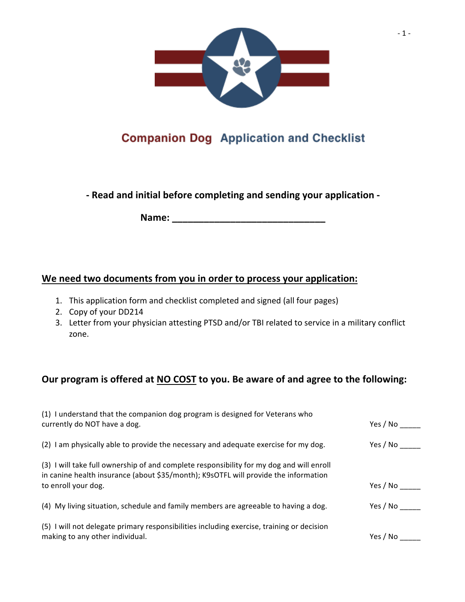

### **COMPANION DOG Application and Checklist**

**- Read and initial before completing and sending your application -**

**Name: \_\_\_\_\_\_\_\_\_\_\_\_\_\_\_\_\_\_\_\_\_\_\_\_\_\_\_\_\_**

#### **We need two documents from you in order to process your application:**

- 1. This application form and checklist completed and signed (all four pages)
- 2. Copy of your DD214
- 3. Letter from your physician attesting PTSD and/or TBI related to service in a military conflict zone.

#### **Our program is offered at NO COST to you. Be aware of and agree to the following:**

| (1) I understand that the companion dog program is designed for Veterans who<br>currently do NOT have a dog.                                                                    | Yes / No        |
|---------------------------------------------------------------------------------------------------------------------------------------------------------------------------------|-----------------|
| (2) I am physically able to provide the necessary and adequate exercise for my dog.                                                                                             | Yes / No $\_\_$ |
| (3) I will take full ownership of and complete responsibility for my dog and will enroll<br>in canine health insurance (about \$35/month); K9sOTFL will provide the information |                 |
| to enroll your dog.                                                                                                                                                             | Yes / No        |
| (4) My living situation, schedule and family members are agreeable to having a dog.                                                                                             | Yes / No        |
| (5) I will not delegate primary responsibilities including exercise, training or decision<br>making to any other individual.                                                    | Yes / No $\_\_$ |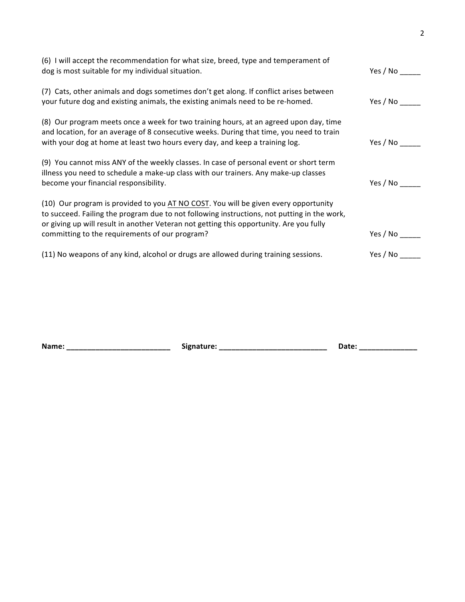| (6) I will accept the recommendation for what size, breed, type and temperament of<br>dog is most suitable for my individual situation.                                                                                                                                       | Yes / No             |
|-------------------------------------------------------------------------------------------------------------------------------------------------------------------------------------------------------------------------------------------------------------------------------|----------------------|
| (7) Cats, other animals and dogs sometimes don't get along. If conflict arises between<br>your future dog and existing animals, the existing animals need to be re-homed.                                                                                                     | Yes / No             |
| (8) Our program meets once a week for two training hours, at an agreed upon day, time<br>and location, for an average of 8 consecutive weeks. During that time, you need to train<br>with your dog at home at least two hours every day, and keep a training log.             | Yes / No             |
| (9) You cannot miss ANY of the weekly classes. In case of personal event or short term<br>illness you need to schedule a make-up class with our trainers. Any make-up classes<br>become your financial responsibility.                                                        | Yes / No             |
| (10) Our program is provided to you AT NO COST. You will be given every opportunity<br>to succeed. Failing the program due to not following instructions, not putting in the work,<br>or giving up will result in another Veteran not getting this opportunity. Are you fully |                      |
| committing to the requirements of our program?<br>(11) No weapons of any kind, alcohol or drugs are allowed during training sessions.                                                                                                                                         | Yes / No<br>Yes / No |

| Name: | Signature:<br>. . | Date |  |
|-------|-------------------|------|--|
|       |                   |      |  |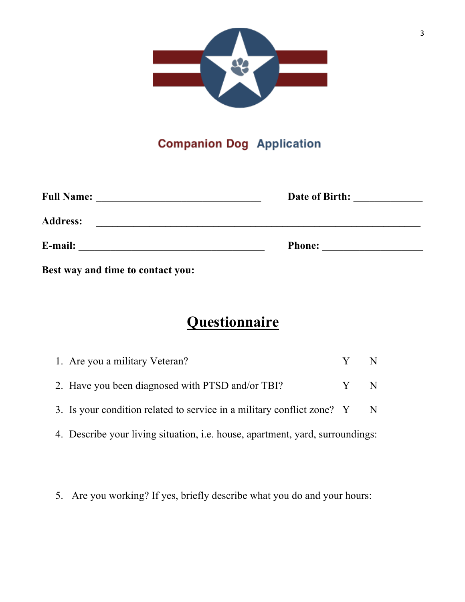

#### **Companion Dog Application**

| <b>Full Name:</b> | Date of Birth: |  |
|-------------------|----------------|--|
| <b>Address:</b>   |                |  |
| E-mail:           | <b>Phone:</b>  |  |

**Best way and time to contact you:**

# **Questionnaire**

| 1. Are you a military Veteran?                                                       | Y N |  |
|--------------------------------------------------------------------------------------|-----|--|
| 2. Have you been diagnosed with PTSD and/or TBI?                                     | Y N |  |
| 3. Is your condition related to service in a military conflict zone? Y N             |     |  |
| 4. Describe your living situation, <i>i.e.</i> house, apartment, yard, surroundings: |     |  |

5. Are you working? If yes, briefly describe what you do and your hours: